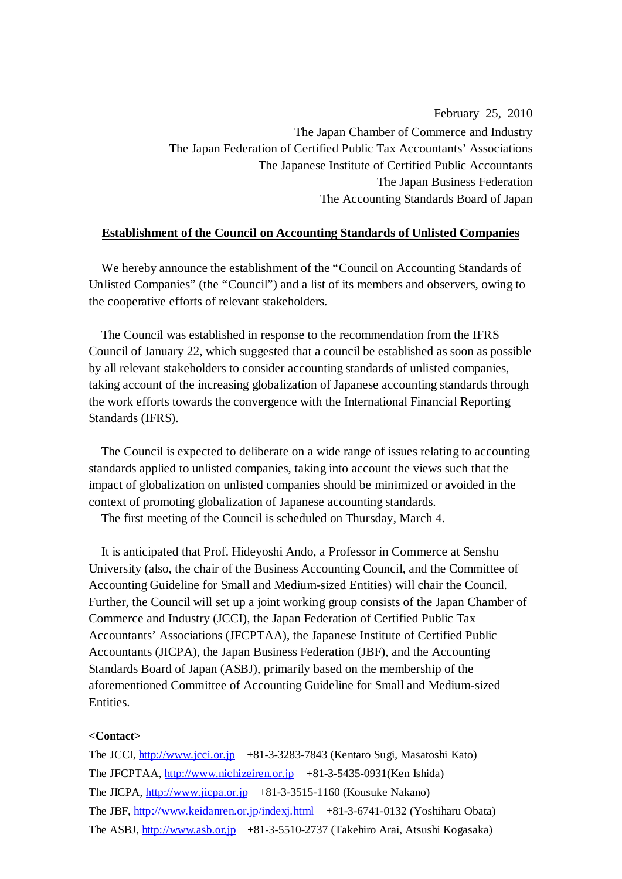February 25, 2010 The Japan Chamber of Commerce and Industry The Japan Federation of Certified Public Tax Accountants' Associations The Japanese Institute of Certified Public Accountants The Japan Business Federation The Accounting Standards Board of Japan

#### **Establishment of the Council on Accounting Standards of Unlisted Companies**

We hereby announce the establishment of the "Council on Accounting Standards of Unlisted Companies" (the "Council") and a list of its members and observers, owing to the cooperative efforts of relevant stakeholders.

The Council was established in response to the recommendation from the IFRS Council of January 22, which suggested that a council be established as soon as possible by all relevant stakeholders to consider accounting standards of unlisted companies, taking account of the increasing globalization of Japanese accounting standards through the work efforts towards the convergence with the International Financial Reporting Standards (IFRS).

The Council is expected to deliberate on a wide range of issues relating to accounting standards applied to unlisted companies, taking into account the views such that the impact of globalization on unlisted companies should be minimized or avoided in the context of promoting globalization of Japanese accounting standards.

The first meeting of the Council is scheduled on Thursday, March 4.

It is anticipated that Prof. Hideyoshi Ando, a Professor in Commerce at Senshu University (also, the chair of the Business Accounting Council, and the Committee of Accounting Guideline for Small and Medium-sized Entities) will chair the Council. Further, the Council will set up a joint working group consists of the Japan Chamber of Commerce and Industry (JCCI), the Japan Federation of Certified Public Tax Accountants' Associations (JFCPTAA), the Japanese Institute of Certified Public Accountants (JICPA), the Japan Business Federation (JBF), and the Accounting Standards Board of Japan (ASBJ), primarily based on the membership of the aforementioned Committee of Accounting Guideline for Small and Medium-sized Entities.

#### **<Contact>**

The JCCI, http://www.jcci.or.jp +81-3-3283-7843 (Kentaro Sugi, Masatoshi Kato) The JFCPTAA, http://www.nichizeiren.or.jp +81-3-5435-0931(Ken Ishida) The JICPA, http://www.jicpa.or.jp +81-3-3515-1160 (Kousuke Nakano) The JBF, http://www.keidanren.or.jp/indexj.html +81-3-6741-0132 (Yoshiharu Obata) The ASBJ, http://www.asb.or.jp +81-3-5510-2737 (Takehiro Arai, Atsushi Kogasaka)